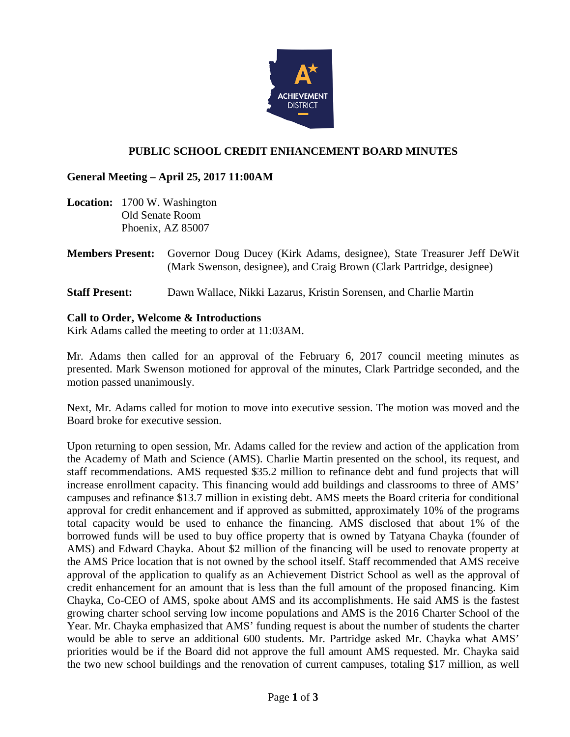

# **PUBLIC SCHOOL CREDIT ENHANCEMENT BOARD MINUTES**

## **General Meeting – April 25, 2017 11:00AM**

- **Location:** 1700 W. Washington Old Senate Room Phoenix, AZ 85007
- **Members Present:** Governor Doug Ducey (Kirk Adams, designee), State Treasurer Jeff DeWit (Mark Swenson, designee), and Craig Brown (Clark Partridge, designee)
- **Staff Present:** Dawn Wallace, Nikki Lazarus, Kristin Sorensen, and Charlie Martin

## **Call to Order, Welcome & Introductions**

Kirk Adams called the meeting to order at 11:03AM.

Mr. Adams then called for an approval of the February 6, 2017 council meeting minutes as presented. Mark Swenson motioned for approval of the minutes, Clark Partridge seconded, and the motion passed unanimously.

Next, Mr. Adams called for motion to move into executive session. The motion was moved and the Board broke for executive session.

Upon returning to open session, Mr. Adams called for the review and action of the application from the Academy of Math and Science (AMS). Charlie Martin presented on the school, its request, and staff recommendations. AMS requested \$35.2 million to refinance debt and fund projects that will increase enrollment capacity. This financing would add buildings and classrooms to three of AMS' campuses and refinance \$13.7 million in existing debt. AMS meets the Board criteria for conditional approval for credit enhancement and if approved as submitted, approximately 10% of the programs total capacity would be used to enhance the financing. AMS disclosed that about 1% of the borrowed funds will be used to buy office property that is owned by Tatyana Chayka (founder of AMS) and Edward Chayka. About \$2 million of the financing will be used to renovate property at the AMS Price location that is not owned by the school itself. Staff recommended that AMS receive approval of the application to qualify as an Achievement District School as well as the approval of credit enhancement for an amount that is less than the full amount of the proposed financing. Kim Chayka, Co-CEO of AMS, spoke about AMS and its accomplishments. He said AMS is the fastest growing charter school serving low income populations and AMS is the 2016 Charter School of the Year. Mr. Chayka emphasized that AMS' funding request is about the number of students the charter would be able to serve an additional 600 students. Mr. Partridge asked Mr. Chayka what AMS' priorities would be if the Board did not approve the full amount AMS requested. Mr. Chayka said the two new school buildings and the renovation of current campuses, totaling \$17 million, as well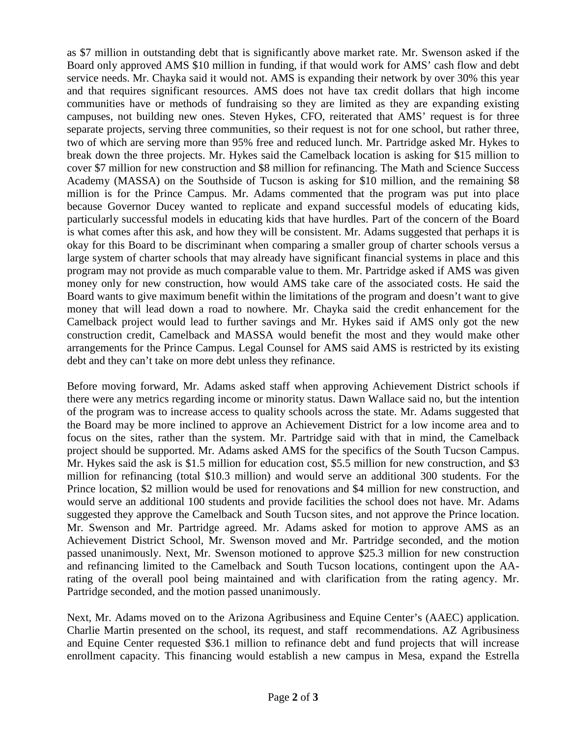as \$7 million in outstanding debt that is significantly above market rate. Mr. Swenson asked if the Board only approved AMS \$10 million in funding, if that would work for AMS' cash flow and debt service needs. Mr. Chayka said it would not. AMS is expanding their network by over 30% this year and that requires significant resources. AMS does not have tax credit dollars that high income communities have or methods of fundraising so they are limited as they are expanding existing campuses, not building new ones. Steven Hykes, CFO, reiterated that AMS' request is for three separate projects, serving three communities, so their request is not for one school, but rather three, two of which are serving more than 95% free and reduced lunch. Mr. Partridge asked Mr. Hykes to break down the three projects. Mr. Hykes said the Camelback location is asking for \$15 million to cover \$7 million for new construction and \$8 million for refinancing. The Math and Science Success Academy (MASSA) on the Southside of Tucson is asking for \$10 million, and the remaining \$8 million is for the Prince Campus. Mr. Adams commented that the program was put into place because Governor Ducey wanted to replicate and expand successful models of educating kids, particularly successful models in educating kids that have hurdles. Part of the concern of the Board is what comes after this ask, and how they will be consistent. Mr. Adams suggested that perhaps it is okay for this Board to be discriminant when comparing a smaller group of charter schools versus a large system of charter schools that may already have significant financial systems in place and this program may not provide as much comparable value to them. Mr. Partridge asked if AMS was given money only for new construction, how would AMS take care of the associated costs. He said the Board wants to give maximum benefit within the limitations of the program and doesn't want to give money that will lead down a road to nowhere. Mr. Chayka said the credit enhancement for the Camelback project would lead to further savings and Mr. Hykes said if AMS only got the new construction credit, Camelback and MASSA would benefit the most and they would make other arrangements for the Prince Campus. Legal Counsel for AMS said AMS is restricted by its existing debt and they can't take on more debt unless they refinance.

Before moving forward, Mr. Adams asked staff when approving Achievement District schools if there were any metrics regarding income or minority status. Dawn Wallace said no, but the intention of the program was to increase access to quality schools across the state. Mr. Adams suggested that the Board may be more inclined to approve an Achievement District for a low income area and to focus on the sites, rather than the system. Mr. Partridge said with that in mind, the Camelback project should be supported. Mr. Adams asked AMS for the specifics of the South Tucson Campus. Mr. Hykes said the ask is \$1.5 million for education cost, \$5.5 million for new construction, and \$3 million for refinancing (total \$10.3 million) and would serve an additional 300 students. For the Prince location, \$2 million would be used for renovations and \$4 million for new construction, and would serve an additional 100 students and provide facilities the school does not have. Mr. Adams suggested they approve the Camelback and South Tucson sites, and not approve the Prince location. Mr. Swenson and Mr. Partridge agreed. Mr. Adams asked for motion to approve AMS as an Achievement District School, Mr. Swenson moved and Mr. Partridge seconded, and the motion passed unanimously. Next, Mr. Swenson motioned to approve \$25.3 million for new construction and refinancing limited to the Camelback and South Tucson locations, contingent upon the AArating of the overall pool being maintained and with clarification from the rating agency. Mr. Partridge seconded, and the motion passed unanimously.

Next, Mr. Adams moved on to the Arizona Agribusiness and Equine Center's (AAEC) application. Charlie Martin presented on the school, its request, and staff recommendations. AZ Agribusiness and Equine Center requested \$36.1 million to refinance debt and fund projects that will increase enrollment capacity. This financing would establish a new campus in Mesa, expand the Estrella